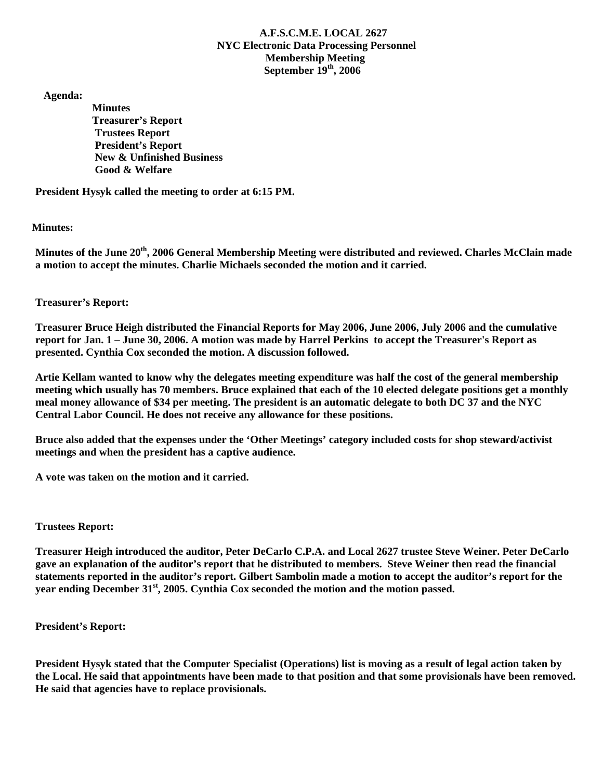# **A.F.S.C.M.E. LOCAL 2627 NYC Electronic Data Processing Personnel Membership Meeting September 19th, 2006**

 **Agenda:** 

 **Minutes Treasurer's Report Trustees Report President's Report New & Unfinished Business Good & Welfare** 

**President Hysyk called the meeting to order at 6:15 PM.** 

 **Minutes:** 

**Minutes of the June 20th, 2006 General Membership Meeting were distributed and reviewed. Charles McClain made a motion to accept the minutes. Charlie Michaels seconded the motion and it carried.** 

# **Treasurer's Report:**

**Treasurer Bruce Heigh distributed the Financial Reports for May 2006, June 2006, July 2006 and the cumulative report for Jan. 1 – June 30, 2006. A motion was made by Harrel Perkins to accept the Treasurer's Report as presented. Cynthia Cox seconded the motion. A discussion followed.** 

**Artie Kellam wanted to know why the delegates meeting expenditure was half the cost of the general membership meeting which usually has 70 members. Bruce explained that each of the 10 elected delegate positions get a monthly meal money allowance of \$34 per meeting. The president is an automatic delegate to both DC 37 and the NYC Central Labor Council. He does not receive any allowance for these positions.** 

**Bruce also added that the expenses under the 'Other Meetings' category included costs for shop steward/activist meetings and when the president has a captive audience.** 

**A vote was taken on the motion and it carried.** 

**Trustees Report:** 

**Treasurer Heigh introduced the auditor, Peter DeCarlo C.P.A. and Local 2627 trustee Steve Weiner. Peter DeCarlo gave an explanation of the auditor's report that he distributed to members. Steve Weiner then read the financial statements reported in the auditor's report. Gilbert Sambolin made a motion to accept the auditor's report for the year ending December 31st, 2005. Cynthia Cox seconded the motion and the motion passed.** 

**President's Report:** 

**President Hysyk stated that the Computer Specialist (Operations) list is moving as a result of legal action taken by the Local. He said that appointments have been made to that position and that some provisionals have been removed. He said that agencies have to replace provisionals.**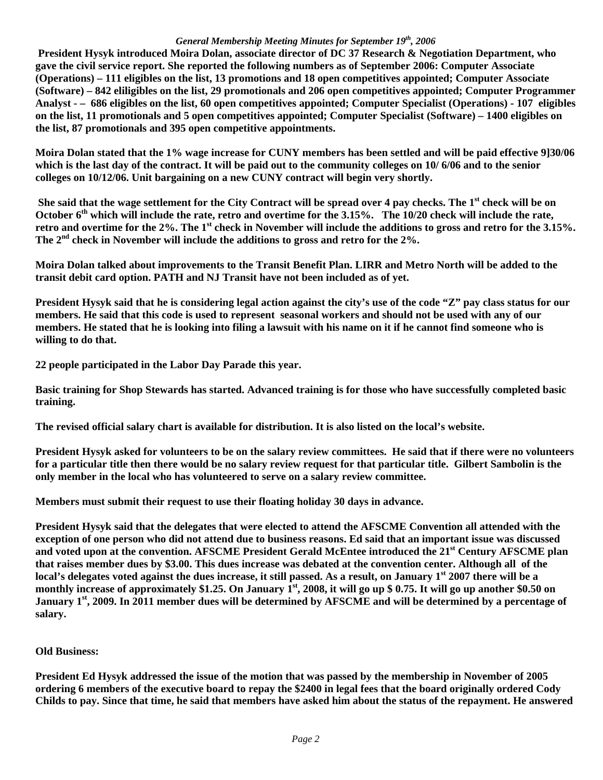### *General Membership Meeting Minutes for September 19th, 2006*

 **President Hysyk introduced Moira Dolan, associate director of DC 37 Research & Negotiation Department, who gave the civil service report. She reported the following numbers as of September 2006: Computer Associate (Operations) – 111 eligibles on the list, 13 promotions and 18 open competitives appointed; Computer Associate (Software) – 842 eliligibles on the list, 29 promotionals and 206 open competitives appointed; Computer Programmer Analyst - – 686 eligibles on the list, 60 open competitives appointed; Computer Specialist (Operations) - 107 eligibles on the list, 11 promotionals and 5 open competitives appointed; Computer Specialist (Software) – 1400 eligibles on the list, 87 promotionals and 395 open competitive appointments.** 

**Moira Dolan stated that the 1% wage increase for CUNY members has been settled and will be paid effective 9]30/06 which is the last day of the contract. It will be paid out to the community colleges on 10/ 6/06 and to the senior colleges on 10/12/06. Unit bargaining on a new CUNY contract will begin very shortly.** 

She said that the wage settlement for the City Contract will be spread over 4 pay checks. The 1<sup>st</sup> check will be on **October 6th which will include the rate, retro and overtime for the 3.15%. The 10/20 check will include the rate, retro and overtime for the 2%. The 1st check in November will include the additions to gross and retro for the 3.15%. The 2nd check in November will include the additions to gross and retro for the 2%.** 

**Moira Dolan talked about improvements to the Transit Benefit Plan. LIRR and Metro North will be added to the transit debit card option. PATH and NJ Transit have not been included as of yet.** 

**President Hysyk said that he is considering legal action against the city's use of the code "Z" pay class status for our members. He said that this code is used to represent seasonal workers and should not be used with any of our members. He stated that he is looking into filing a lawsuit with his name on it if he cannot find someone who is willing to do that.** 

**22 people participated in the Labor Day Parade this year.** 

**Basic training for Shop Stewards has started. Advanced training is for those who have successfully completed basic training.** 

**The revised official salary chart is available for distribution. It is also listed on the local's website.** 

**President Hysyk asked for volunteers to be on the salary review committees. He said that if there were no volunteers for a particular title then there would be no salary review request for that particular title. Gilbert Sambolin is the only member in the local who has volunteered to serve on a salary review committee.** 

**Members must submit their request to use their floating holiday 30 days in advance.** 

**President Hysyk said that the delegates that were elected to attend the AFSCME Convention all attended with the exception of one person who did not attend due to business reasons. Ed said that an important issue was discussed and voted upon at the convention. AFSCME President Gerald McEntee introduced the 21st Century AFSCME plan that raises member dues by \$3.00. This dues increase was debated at the convention center. Although all of the local's delegates voted against the dues increase, it still passed. As a result, on January 1st 2007 there will be a**  monthly increase of approximately \$1.25. On January 1<sup>st</sup>, 2008, it will go up \$ 0.75. It will go up another \$0.50 on **January 1st, 2009. In 2011 member dues will be determined by AFSCME and will be determined by a percentage of salary.** 

### **Old Business:**

**President Ed Hysyk addressed the issue of the motion that was passed by the membership in November of 2005 ordering 6 members of the executive board to repay the \$2400 in legal fees that the board originally ordered Cody Childs to pay. Since that time, he said that members have asked him about the status of the repayment. He answered**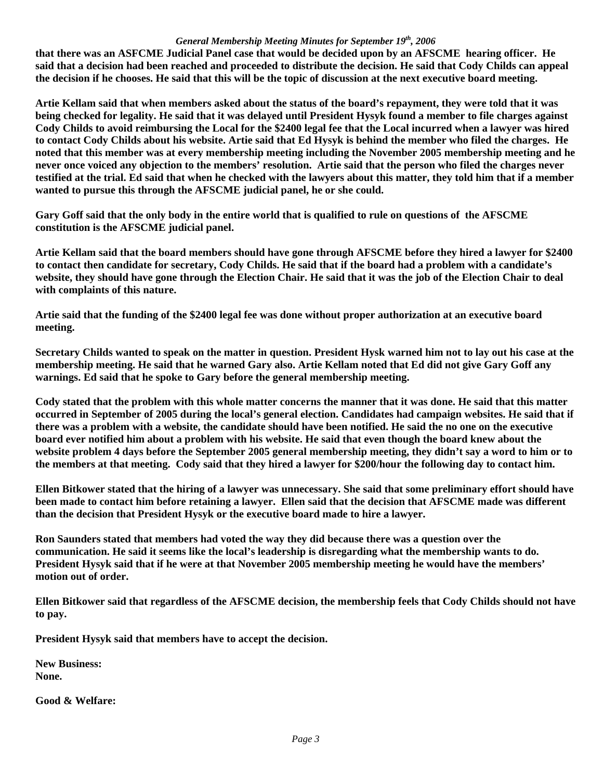#### *General Membership Meeting Minutes for September 19th, 2006*

**that there was an ASFCME Judicial Panel case that would be decided upon by an AFSCME hearing officer. He said that a decision had been reached and proceeded to distribute the decision. He said that Cody Childs can appeal the decision if he chooses. He said that this will be the topic of discussion at the next executive board meeting.** 

**Artie Kellam said that when members asked about the status of the board's repayment, they were told that it was being checked for legality. He said that it was delayed until President Hysyk found a member to file charges against Cody Childs to avoid reimbursing the Local for the \$2400 legal fee that the Local incurred when a lawyer was hired to contact Cody Childs about his website. Artie said that Ed Hysyk is behind the member who filed the charges. He noted that this member was at every membership meeting including the November 2005 membership meeting and he never once voiced any objection to the members' resolution. Artie said that the person who filed the charges never testified at the trial. Ed said that when he checked with the lawyers about this matter, they told him that if a member wanted to pursue this through the AFSCME judicial panel, he or she could.** 

**Gary Goff said that the only body in the entire world that is qualified to rule on questions of the AFSCME constitution is the AFSCME judicial panel.** 

**Artie Kellam said that the board members should have gone through AFSCME before they hired a lawyer for \$2400 to contact then candidate for secretary, Cody Childs. He said that if the board had a problem with a candidate's website, they should have gone through the Election Chair. He said that it was the job of the Election Chair to deal with complaints of this nature.** 

**Artie said that the funding of the \$2400 legal fee was done without proper authorization at an executive board meeting.** 

**Secretary Childs wanted to speak on the matter in question. President Hysk warned him not to lay out his case at the membership meeting. He said that he warned Gary also. Artie Kellam noted that Ed did not give Gary Goff any warnings. Ed said that he spoke to Gary before the general membership meeting.** 

**Cody stated that the problem with this whole matter concerns the manner that it was done. He said that this matter occurred in September of 2005 during the local's general election. Candidates had campaign websites. He said that if there was a problem with a website, the candidate should have been notified. He said the no one on the executive board ever notified him about a problem with his website. He said that even though the board knew about the website problem 4 days before the September 2005 general membership meeting, they didn't say a word to him or to the members at that meeting. Cody said that they hired a lawyer for \$200/hour the following day to contact him.** 

**Ellen Bitkower stated that the hiring of a lawyer was unnecessary. She said that some preliminary effort should have been made to contact him before retaining a lawyer. Ellen said that the decision that AFSCME made was different than the decision that President Hysyk or the executive board made to hire a lawyer.** 

**Ron Saunders stated that members had voted the way they did because there was a question over the communication. He said it seems like the local's leadership is disregarding what the membership wants to do. President Hysyk said that if he were at that November 2005 membership meeting he would have the members' motion out of order.** 

**Ellen Bitkower said that regardless of the AFSCME decision, the membership feels that Cody Childs should not have to pay.** 

**President Hysyk said that members have to accept the decision.** 

**New Business: None.** 

**Good & Welfare:**